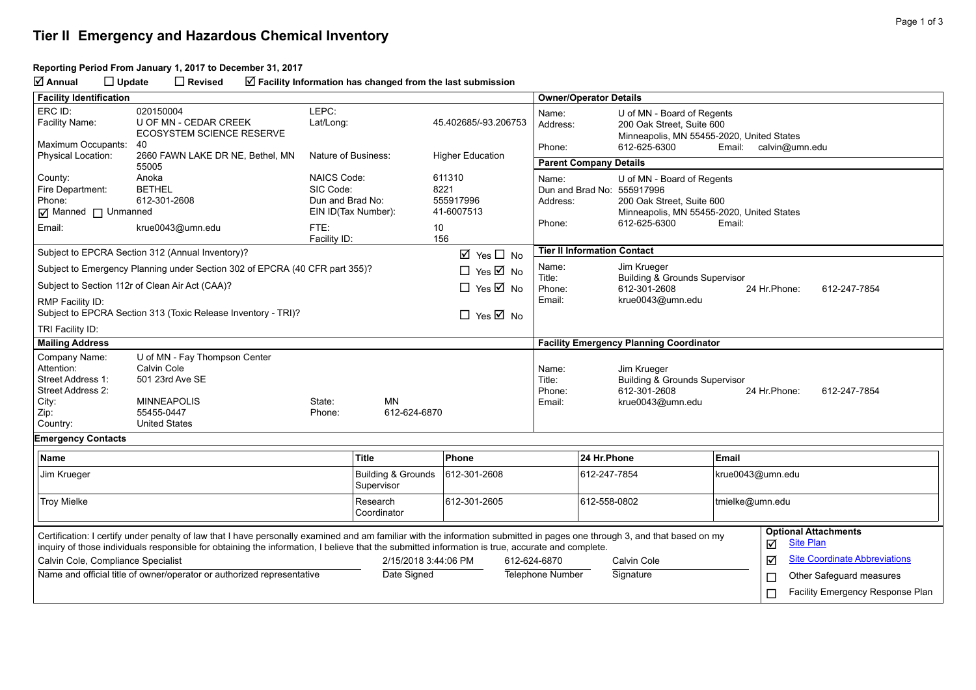## **Tier II Emergency and Hazardous Chemical Inventory**

## **Reporting Period From January 1, 2017 to December 31, 2017**

**Annual Update Revised Facility Information has changed from the last submission**

| <b>Facility Identification</b>                                                 |                                                                                                                                                                                                                                                                                                                               |                                                     |                                             |                                           | <b>Owner/Operator Details</b>                                                                                             |                                                                                                                                    |                                                                                           |                                                      |  |  |
|--------------------------------------------------------------------------------|-------------------------------------------------------------------------------------------------------------------------------------------------------------------------------------------------------------------------------------------------------------------------------------------------------------------------------|-----------------------------------------------------|---------------------------------------------|-------------------------------------------|---------------------------------------------------------------------------------------------------------------------------|------------------------------------------------------------------------------------------------------------------------------------|-------------------------------------------------------------------------------------------|------------------------------------------------------|--|--|
| ERC ID:                                                                        | 020150004                                                                                                                                                                                                                                                                                                                     | LEPC:                                               |                                             |                                           |                                                                                                                           |                                                                                                                                    |                                                                                           |                                                      |  |  |
| Facility Name:                                                                 | <b>U OF MN - CEDAR CREEK</b><br><b>ECOSYSTEM SCIENCE RESERVE</b>                                                                                                                                                                                                                                                              | Lat/Long:                                           |                                             | 45.402685/-93.206753                      | Name:<br>Address:                                                                                                         | U of MN - Board of Regents<br>200 Oak Street, Suite 600<br>Minneapolis, MN 55455-2020, United States                               |                                                                                           |                                                      |  |  |
| Maximum Occupants:                                                             | 40                                                                                                                                                                                                                                                                                                                            |                                                     |                                             |                                           | Phone:                                                                                                                    | 612-625-6300                                                                                                                       | Email:                                                                                    | calvin@umn.edu                                       |  |  |
| <b>Physical Location:</b>                                                      | 2660 FAWN LAKE DR NE, Bethel, MN<br>55005                                                                                                                                                                                                                                                                                     | Nature of Business:                                 |                                             | <b>Higher Education</b>                   | <b>Parent Company Details</b>                                                                                             |                                                                                                                                    |                                                                                           |                                                      |  |  |
| County:<br>Fire Department:<br>Phone:<br>Manned I Unmanned                     | Anoka<br><b>BETHEL</b><br>612-301-2608                                                                                                                                                                                                                                                                                        | <b>NAICS Code:</b><br>SIC Code:<br>Dun and Brad No: | EIN ID(Tax Number):                         | 611310<br>8221<br>555917996<br>41-6007513 | Name:<br>Address:                                                                                                         | U of MN - Board of Regents<br>Dun and Brad No: 555917996<br>200 Oak Street, Suite 600<br>Minneapolis, MN 55455-2020, United States |                                                                                           |                                                      |  |  |
| Email:                                                                         | krue0043@umn.edu                                                                                                                                                                                                                                                                                                              | FTE:<br>Facility ID:                                |                                             | 10<br>156                                 | Phone:                                                                                                                    | 612-625-6300                                                                                                                       | Email:                                                                                    |                                                      |  |  |
|                                                                                | Subject to EPCRA Section 312 (Annual Inventory)?                                                                                                                                                                                                                                                                              |                                                     |                                             | $\boxtimes$ Yes $\Box$ No                 | <b>Tier II Information Contact</b>                                                                                        |                                                                                                                                    |                                                                                           |                                                      |  |  |
| Subject to Emergency Planning under Section 302 of EPCRA (40 CFR part 355)?    |                                                                                                                                                                                                                                                                                                                               |                                                     |                                             | $\Box$ Yes $\overline{\boxtimes}$ No      | Jim Krueger                                                                                                               |                                                                                                                                    |                                                                                           |                                                      |  |  |
|                                                                                | Subject to Section 112r of Clean Air Act (CAA)?                                                                                                                                                                                                                                                                               |                                                     |                                             |                                           | Title:<br><b>Building &amp; Grounds Supervisor</b><br>$\Box$ Yes $\boxtimes$ No<br>612-301-2608<br>Phone:<br>24 Hr.Phone: |                                                                                                                                    |                                                                                           | 612-247-7854                                         |  |  |
| RMP Facility ID:                                                               | Subject to EPCRA Section 313 (Toxic Release Inventory - TRI)?                                                                                                                                                                                                                                                                 |                                                     |                                             | $\Box$ Yes $\overline{\boxtimes}$ No      | Email:                                                                                                                    | krue0043@umn.edu                                                                                                                   |                                                                                           |                                                      |  |  |
| TRI Facility ID:                                                               |                                                                                                                                                                                                                                                                                                                               |                                                     |                                             |                                           |                                                                                                                           |                                                                                                                                    |                                                                                           |                                                      |  |  |
| <b>Mailing Address</b>                                                         |                                                                                                                                                                                                                                                                                                                               |                                                     |                                             |                                           |                                                                                                                           | <b>Facility Emergency Planning Coordinator</b>                                                                                     |                                                                                           |                                                      |  |  |
| Company Name:<br>Attention:<br>Street Address 1:<br>Street Address 2:<br>City: | U of MN - Fay Thompson Center<br>Calvin Cole<br>501 23rd Ave SE<br><b>MINNEAPOLIS</b>                                                                                                                                                                                                                                         | State:                                              | <b>MN</b>                                   |                                           | Name:<br>Title:<br>Phone:<br>Email:                                                                                       | Jim Krueger<br><b>Building &amp; Grounds Supervisor</b><br>612-301-2608<br>krue0043@umn.edu                                        |                                                                                           | 24 Hr.Phone:<br>612-247-7854                         |  |  |
| Zip:<br>Country:                                                               | 55455-0447<br><b>United States</b>                                                                                                                                                                                                                                                                                            | Phone:                                              | 612-624-6870                                |                                           |                                                                                                                           |                                                                                                                                    |                                                                                           |                                                      |  |  |
| <b>Emergency Contacts</b>                                                      |                                                                                                                                                                                                                                                                                                                               |                                                     |                                             |                                           |                                                                                                                           |                                                                                                                                    |                                                                                           |                                                      |  |  |
| Name                                                                           |                                                                                                                                                                                                                                                                                                                               |                                                     | <b>Title</b>                                | Phone                                     |                                                                                                                           | 24 Hr.Phone                                                                                                                        | Email                                                                                     |                                                      |  |  |
| Jim Krueger                                                                    |                                                                                                                                                                                                                                                                                                                               |                                                     | <b>Building &amp; Grounds</b><br>Supervisor | 612-301-2608                              |                                                                                                                           | 612-247-7854                                                                                                                       | krue0043@umn.edu                                                                          |                                                      |  |  |
| <b>Troy Mielke</b>                                                             |                                                                                                                                                                                                                                                                                                                               |                                                     | Research<br>Coordinator                     | 612-301-2605                              |                                                                                                                           | 612-558-0802                                                                                                                       |                                                                                           |                                                      |  |  |
|                                                                                | Certification: I certify under penalty of law that I have personally examined and am familiar with the information submitted in pages one through 3, and that based on my<br>inquiry of those individuals responsible for obtaining the information, I believe that the submitted information is true, accurate and complete. |                                                     |                                             |                                           |                                                                                                                           |                                                                                                                                    |                                                                                           | <b>Optional Attachments</b><br><b>Site Plan</b><br>☑ |  |  |
| Calvin Cole, Compliance Specialist                                             |                                                                                                                                                                                                                                                                                                                               |                                                     | 2/15/2018 3:44:06 PM                        |                                           | 612-624-6870                                                                                                              | Calvin Cole                                                                                                                        |                                                                                           | ☑<br><b>Site Coordinate Abbreviations</b>            |  |  |
|                                                                                | Name and official title of owner/operator or authorized representative                                                                                                                                                                                                                                                        |                                                     | Date Signed                                 |                                           | Telephone Number                                                                                                          | Signature                                                                                                                          | tmielke@umn.edu<br>Other Safeguard measures<br>□<br>Facility Emergency Response Plan<br>Е |                                                      |  |  |
|                                                                                |                                                                                                                                                                                                                                                                                                                               |                                                     |                                             |                                           |                                                                                                                           |                                                                                                                                    |                                                                                           |                                                      |  |  |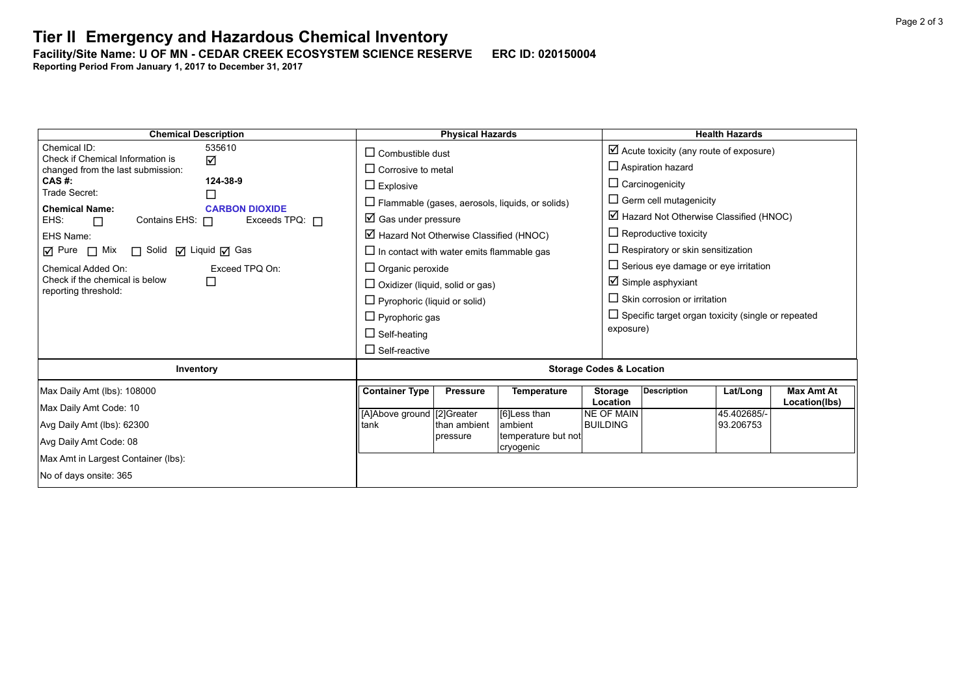**Tier II Emergency and Hazardous Chemical Inventory** 

**Facility/Site Name: U OF MN - CEDAR CREEK ECOSYSTEM SCIENCE RESERVE-----ERC ID: 020150004**

**Reporting Period From January 1, 2017 to December 31, 2017**

| <b>Chemical Description</b>                                   |                                                                                                        | <b>Physical Hazards</b> |                                                        |                                     |                                                                          | <b>Health Hazards</b>                                     |                   |  |
|---------------------------------------------------------------|--------------------------------------------------------------------------------------------------------|-------------------------|--------------------------------------------------------|-------------------------------------|--------------------------------------------------------------------------|-----------------------------------------------------------|-------------------|--|
| Chemical ID:<br>535610<br>Check if Chemical Information is    | $\Box$ Combustible dust                                                                                |                         |                                                        |                                     |                                                                          | $\boxtimes$ Acute toxicity (any route of exposure)        |                   |  |
| ☑<br>changed from the last submission:                        | $\Box$ Corrosive to metal                                                                              |                         |                                                        |                                     | $\Box$ Aspiration hazard                                                 |                                                           |                   |  |
| 124-38-9<br>$CAS$ #:<br>Trade Secret:                         | $\Box$ Explosive                                                                                       |                         |                                                        |                                     | $\Box$ Carcinogenicity                                                   |                                                           |                   |  |
| $\Box$<br><b>Chemical Name:</b><br><b>CARBON DIOXIDE</b>      |                                                                                                        |                         | $\Box$ Flammable (gases, aerosols, liquids, or solids) |                                     | $\Box$ Germ cell mutagenicity                                            |                                                           |                   |  |
| Contains EHS: $\Box$<br>Exceeds TPQ: $\Box$<br>EHS:<br>$\Box$ | $\boxtimes$ Gas under pressure                                                                         |                         |                                                        |                                     |                                                                          | $\boxtimes$ Hazard Not Otherwise Classified (HNOC)        |                   |  |
| EHS Name:                                                     | $\boxtimes$ Hazard Not Otherwise Classified (HNOC)<br>$\Box$ In contact with water emits flammable gas |                         |                                                        |                                     | $\Box$ Reproductive toxicity<br>$\Box$ Respiratory or skin sensitization |                                                           |                   |  |
| $\Box$ Pure $\Box$ Mix $\Box$ Solid $\Box$ Liquid $\Box$ Gas  |                                                                                                        |                         |                                                        |                                     |                                                                          |                                                           |                   |  |
| Chemical Added On:<br>Exceed TPQ On:                          | $\Box$ Organic peroxide                                                                                |                         |                                                        |                                     | $\Box$ Serious eye damage or eye irritation                              |                                                           |                   |  |
| Check if the chemical is below<br>□<br>reporting threshold:   | $\Box$ Oxidizer (liquid, solid or gas)                                                                 |                         |                                                        |                                     | $\boxtimes$ Simple asphyxiant                                            |                                                           |                   |  |
|                                                               | $\Box$ Pyrophoric (liquid or solid)                                                                    |                         |                                                        |                                     | $\Box$ Skin corrosion or irritation                                      |                                                           |                   |  |
|                                                               | $\Box$ Pyrophoric gas                                                                                  |                         |                                                        |                                     |                                                                          | $\Box$ Specific target organ toxicity (single or repeated |                   |  |
|                                                               | $\Box$ Self-heating                                                                                    |                         |                                                        | exposure)                           |                                                                          |                                                           |                   |  |
|                                                               | $\Box$ Self-reactive                                                                                   |                         |                                                        |                                     |                                                                          |                                                           |                   |  |
| Inventory                                                     |                                                                                                        |                         |                                                        | <b>Storage Codes &amp; Location</b> |                                                                          |                                                           |                   |  |
| Max Daily Amt (lbs): 108000                                   | <b>Container Type</b>                                                                                  | <b>Pressure</b>         | <b>Temperature</b>                                     | <b>Storage</b>                      | <b>Description</b>                                                       | Lat/Long                                                  | <b>Max Amt At</b> |  |
| Max Daily Amt Code: 10                                        | [A]Above ground [2]Greater                                                                             |                         | [6]Less than                                           | Location<br><b>NE OF MAIN</b>       |                                                                          | 45.402685/-                                               | Location(lbs)     |  |
| Avg Daily Amt (lbs): 62300                                    | tank                                                                                                   | than ambient            | ambient                                                | <b>BUILDING</b>                     |                                                                          | 93.206753                                                 |                   |  |
| Avg Daily Amt Code: 08                                        |                                                                                                        | pressure                | temperature but not<br>cryogenic                       |                                     |                                                                          |                                                           |                   |  |
| Max Amt in Largest Container (lbs):                           |                                                                                                        |                         |                                                        |                                     |                                                                          |                                                           |                   |  |
| No of days onsite: 365                                        |                                                                                                        |                         |                                                        |                                     |                                                                          |                                                           |                   |  |